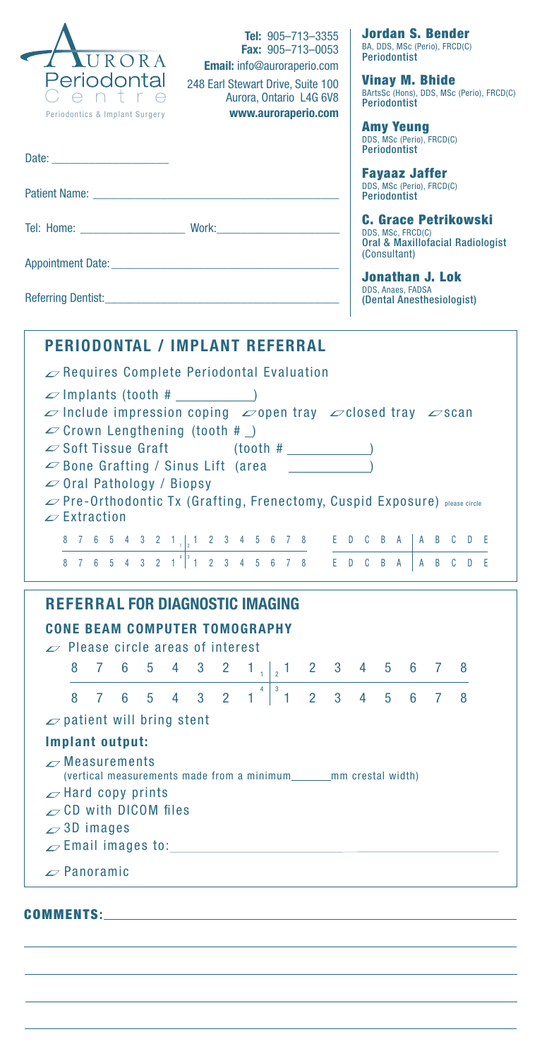| <b>Tel:</b> $905 - 713 - 3355$<br><b>Fax:</b> $905 - 713 - 0053$<br>URORA<br>Email: info@auroraperio.com<br>Periodontal<br>248 Earl Stewart Drive, Suite 100<br>Centre<br>Aurora, Ontario L4G 6V8<br>www.auroraperio.com<br>Periodontics & Implant Surgery                                                                                                                                                                                                                                                                                                                                       | Jordan S. Bender<br>BA, DDS, MSc (Perio), FRCD(C)<br><b>Periodontist</b><br>Vinay M. Bhide<br>BArtsSc (Hons), DDS, MSc (Perio), FRCD(C)<br><b>Periodontist</b><br><b>Amy Yeung</b> |
|--------------------------------------------------------------------------------------------------------------------------------------------------------------------------------------------------------------------------------------------------------------------------------------------------------------------------------------------------------------------------------------------------------------------------------------------------------------------------------------------------------------------------------------------------------------------------------------------------|------------------------------------------------------------------------------------------------------------------------------------------------------------------------------------|
| Date: the contract of the contract of the contract of the contract of the contract of the contract of the contract of the contract of the contract of the contract of the contract of the contract of the contract of the cont                                                                                                                                                                                                                                                                                                                                                                   | DDS, MSc (Perio), FRCD(C)<br><b>Periodontist</b>                                                                                                                                   |
| Patient Name: The Contract of the Contract of the Contract of the Contract of the Contract of the Contract of the Contract of the Contract of the Contract of the Contract of the Contract of the Contract of the Contract of                                                                                                                                                                                                                                                                                                                                                                    | <b>Fayaaz Jaffer</b><br>DDS, MSc (Perio), FRCD(C)<br><b>Periodontist</b>                                                                                                           |
|                                                                                                                                                                                                                                                                                                                                                                                                                                                                                                                                                                                                  | <b>C. Grace Petrikowski</b><br>DDS, MSc, FRCD(C)<br><b>Oral &amp; Maxillofacial Radiologist</b><br>(Consultant)                                                                    |
|                                                                                                                                                                                                                                                                                                                                                                                                                                                                                                                                                                                                  | <b>Jonathan J. Lok</b><br>DDS, Anaes, FADSA                                                                                                                                        |
|                                                                                                                                                                                                                                                                                                                                                                                                                                                                                                                                                                                                  | (Dental Anesthesiologist)                                                                                                                                                          |
| <b>PERIODONTAL / IMPLANT REFERRAL</b>                                                                                                                                                                                                                                                                                                                                                                                                                                                                                                                                                            |                                                                                                                                                                                    |
| $\mathscr{D}$ Requires Complete Periodontal Evaluation                                                                                                                                                                                                                                                                                                                                                                                                                                                                                                                                           |                                                                                                                                                                                    |
| $\infty$ Implants (tooth # $\qquad$<br>$\varphi$ Include impression coping $\varphi$ open tray $\varphi$ closed tray $\varphi$ scan<br>$\infty$ Crown Lengthening (tooth # $\Box$ )<br>$\infty$ Soft Tissue Graft (tooth # $\qquad$<br>$\infty$ Bone Grafting / Sinus Lift (area $\qquad \qquad$<br>$\infty$ Oral Pathology / Biopsy<br><b>Z</b> Pre-Orthodontic Tx (Grafting, Frenectomy, Cuspid Exposure) please circle<br>$\mathscr{D}$ Extraction                                                                                                                                            |                                                                                                                                                                                    |
|                                                                                                                                                                                                                                                                                                                                                                                                                                                                                                                                                                                                  |                                                                                                                                                                                    |
|                                                                                                                                                                                                                                                                                                                                                                                                                                                                                                                                                                                                  |                                                                                                                                                                                    |
| <b>REFERRAL FOR DIAGNOSTIC IMAGING</b><br><b>BEAM COMPUTER TOMOGRAPHY</b><br>$\mathscr{L}$ Please circle areas of interest<br>8<br>7<br>5<br>4<br>3 <sup>7</sup><br>2 1 <sub>12</sub> 1 2 3 4 5 6<br>6.<br>$\overline{4}$<br>$\begin{bmatrix} 3 \end{bmatrix}$<br>$2 \quad 3 \quad 4$<br>3<br>$\overline{2}$<br>$\overline{7}$<br>6<br>$5\phantom{.0}$<br>$\overline{4}$<br>$1 -$<br>$\mathbf{1}$ 1<br>8<br>$\infty$ patient will bring stent<br>Implant output:<br>$\sim$ Measurements<br>(vertical measurements made from a minimum________mm crestal width)<br>$\mathcal{L}$ Hard copy prints | 8<br>$\mathcal{I}$<br>$5 -$<br>6 <sup>1</sup><br>7 <sup>7</sup><br>8                                                                                                               |
| $\sim$ CD with DICOM files<br>$\sim$ 3D images<br>$\mathcal{L}$ Email images to: $\blacksquare$                                                                                                                                                                                                                                                                                                                                                                                                                                                                                                  |                                                                                                                                                                                    |
| $\mathscr{D}$ Panoramic                                                                                                                                                                                                                                                                                                                                                                                                                                                                                                                                                                          |                                                                                                                                                                                    |